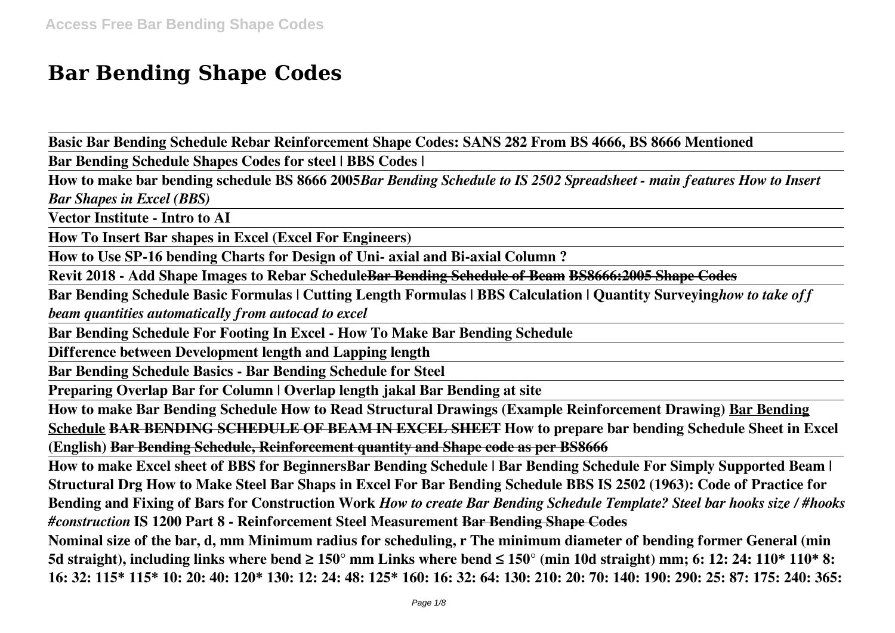# **Bar Bending Shape Codes**

**Basic Bar Bending Schedule Rebar Reinforcement Shape Codes: SANS 282 From BS 4666, BS 8666 Mentioned**

**Bar Bending Schedule Shapes Codes for steel | BBS Codes |**

**How to make bar bending schedule BS 8666 2005***Bar Bending Schedule to IS 2502 Spreadsheet - main features How to Insert Bar Shapes in Excel (BBS)*

**Vector Institute - Intro to AI**

**How To Insert Bar shapes in Excel (Excel For Engineers)**

**How to Use SP-16 bending Charts for Design of Uni- axial and Bi-axial Column ?**

**Revit 2018 - Add Shape Images to Rebar ScheduleBar Bending Schedule of Beam BS8666:2005 Shape Codes**

**Bar Bending Schedule Basic Formulas | Cutting Length Formulas | BBS Calculation | Quantity Surveying***how to take off beam quantities automatically from autocad to excel*

**Bar Bending Schedule For Footing In Excel - How To Make Bar Bending Schedule**

**Difference between Development length and Lapping length**

**Bar Bending Schedule Basics - Bar Bending Schedule for Steel**

**Preparing Overlap Bar for Column | Overlap length jakal Bar Bending at site**

**How to make Bar Bending Schedule How to Read Structural Drawings (Example Reinforcement Drawing) Bar Bending Schedule BAR BENDING SCHEDULE OF BEAM IN EXCEL SHEET How to prepare bar bending Schedule Sheet in Excel (English) Bar Bending Schedule, Reinforcement quantity and Shape code as per BS8666**

**How to make Excel sheet of BBS for BeginnersBar Bending Schedule | Bar Bending Schedule For Simply Supported Beam | Structural Drg How to Make Steel Bar Shaps in Excel For Bar Bending Schedule BBS IS 2502 (1963): Code of Practice for Bending and Fixing of Bars for Construction Work** *How to create Bar Bending Schedule Template? Steel bar hooks size / #hooks #construction* **IS 1200 Part 8 - Reinforcement Steel Measurement Bar Bending Shape Codes**

**Nominal size of the bar, d, mm Minimum radius for scheduling, r The minimum diameter of bending former General (min 5d straight), including links where bend ≥ 150° mm Links where bend ≤ 150° (min 10d straight) mm; 6: 12: 24: 110\* 110\* 8: 16: 32: 115\* 115\* 10: 20: 40: 120\* 130: 12: 24: 48: 125\* 160: 16: 32: 64: 130: 210: 20: 70: 140: 190: 290: 25: 87: 175: 240: 365:**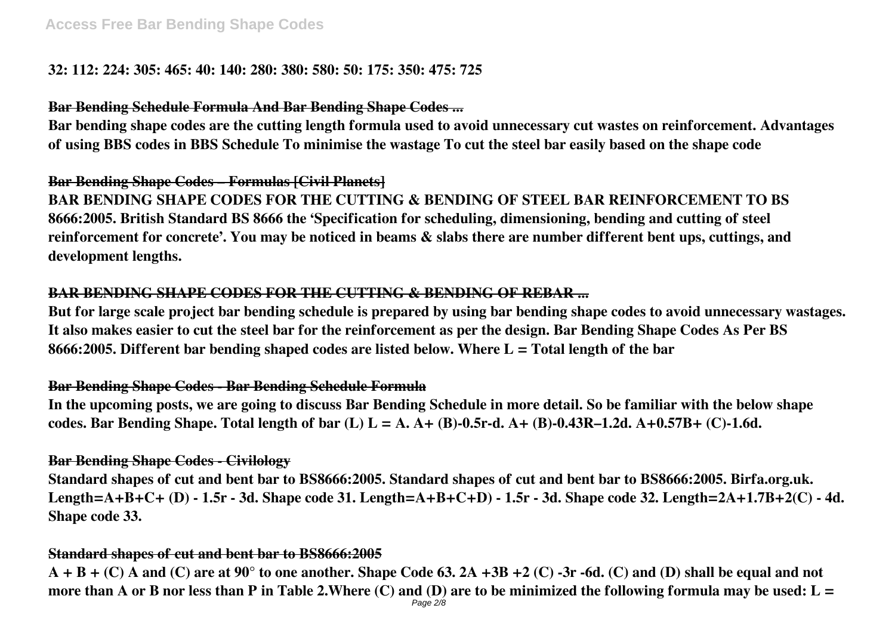# **32: 112: 224: 305: 465: 40: 140: 280: 380: 580: 50: 175: 350: 475: 725**

# **Bar Bending Schedule Formula And Bar Bending Shape Codes ...**

**Bar bending shape codes are the cutting length formula used to avoid unnecessary cut wastes on reinforcement. Advantages of using BBS codes in BBS Schedule To minimise the wastage To cut the steel bar easily based on the shape code**

**Bar Bending Shape Codes – Formulas [Civil Planets] BAR BENDING SHAPE CODES FOR THE CUTTING & BENDING OF STEEL BAR REINFORCEMENT TO BS 8666:2005. British Standard BS 8666 the 'Specification for scheduling, dimensioning, bending and cutting of steel reinforcement for concrete'. You may be noticed in beams & slabs there are number different bent ups, cuttings, and development lengths.**

# **BAR BENDING SHAPE CODES FOR THE CUTTING & BENDING OF REBAR ...**

**But for large scale project bar bending schedule is prepared by using bar bending shape codes to avoid unnecessary wastages. It also makes easier to cut the steel bar for the reinforcement as per the design. Bar Bending Shape Codes As Per BS 8666:2005. Different bar bending shaped codes are listed below. Where L = Total length of the bar**

# **Bar Bending Shape Codes - Bar Bending Schedule Formula**

**In the upcoming posts, we are going to discuss Bar Bending Schedule in more detail. So be familiar with the below shape codes. Bar Bending Shape. Total length of bar (L) L = A. A+ (B)-0.5r-d. A+ (B)-0.43R–1.2d. A+0.57B+ (C)-1.6d.**

# **Bar Bending Shape Codes - Civilology**

**Standard shapes of cut and bent bar to BS8666:2005. Standard shapes of cut and bent bar to BS8666:2005. Birfa.org.uk. Length=A+B+C+ (D) - 1.5r - 3d. Shape code 31. Length=A+B+C+D) - 1.5r - 3d. Shape code 32. Length=2A+1.7B+2(C) - 4d. Shape code 33.**

# **Standard shapes of cut and bent bar to BS8666:2005**

**A + B + (C) A and (C) are at 90° to one another. Shape Code 63. 2A +3B +2 (C) -3r -6d. (C) and (D) shall be equal and not more than A or B nor less than P in Table 2.Where (C) and (D) are to be minimized the following formula may be used: L =** Page 2/8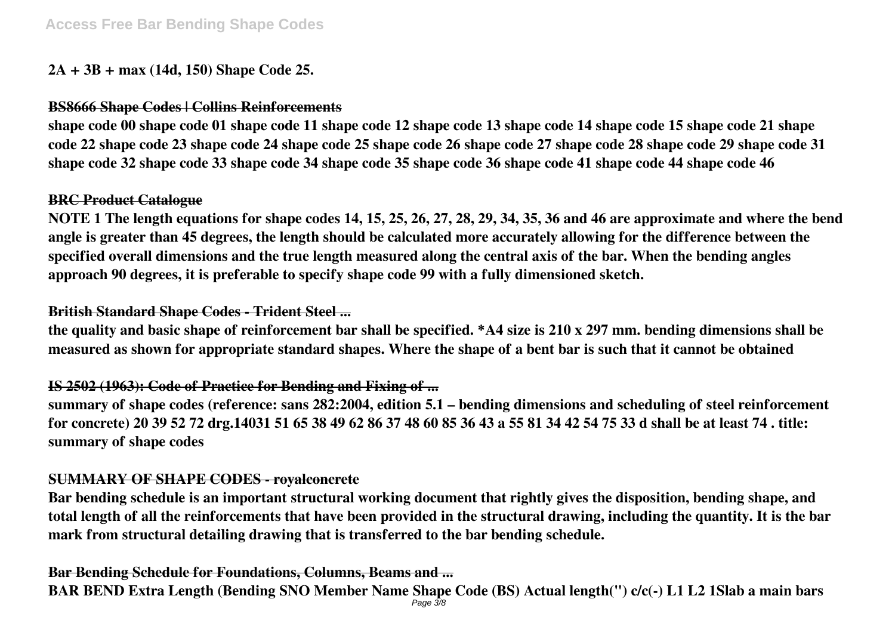# **2A + 3B + max (14d, 150) Shape Code 25.**

# **BS8666 Shape Codes | Collins Reinforcements**

**shape code 00 shape code 01 shape code 11 shape code 12 shape code 13 shape code 14 shape code 15 shape code 21 shape code 22 shape code 23 shape code 24 shape code 25 shape code 26 shape code 27 shape code 28 shape code 29 shape code 31 shape code 32 shape code 33 shape code 34 shape code 35 shape code 36 shape code 41 shape code 44 shape code 46**

## **BRC Product Catalogue**

**NOTE 1 The length equations for shape codes 14, 15, 25, 26, 27, 28, 29, 34, 35, 36 and 46 are approximate and where the bend angle is greater than 45 degrees, the length should be calculated more accurately allowing for the difference between the specified overall dimensions and the true length measured along the central axis of the bar. When the bending angles approach 90 degrees, it is preferable to specify shape code 99 with a fully dimensioned sketch.**

# **British Standard Shape Codes - Trident Steel ...**

**the quality and basic shape of reinforcement bar shall be specified. \*A4 size is 210 x 297 mm. bending dimensions shall be measured as shown for appropriate standard shapes. Where the shape of a bent bar is such that it cannot be obtained**

# **IS 2502 (1963): Code of Practice for Bending and Fixing of ...**

**summary of shape codes (reference: sans 282:2004, edition 5.1 – bending dimensions and scheduling of steel reinforcement for concrete) 20 39 52 72 drg.14031 51 65 38 49 62 86 37 48 60 85 36 43 a 55 81 34 42 54 75 33 d shall be at least 74 . title: summary of shape codes**

# **SUMMARY OF SHAPE CODES - royalconcrete**

**Bar bending schedule is an important structural working document that rightly gives the disposition, bending shape, and total length of all the reinforcements that have been provided in the structural drawing, including the quantity. It is the bar mark from structural detailing drawing that is transferred to the bar bending schedule.**

# **Bar Bending Schedule for Foundations, Columns, Beams and ...**

**BAR BEND Extra Length (Bending SNO Member Name Shape Code (BS) Actual length(") c/c(-) L1 L2 1Slab a main bars** Page 3/8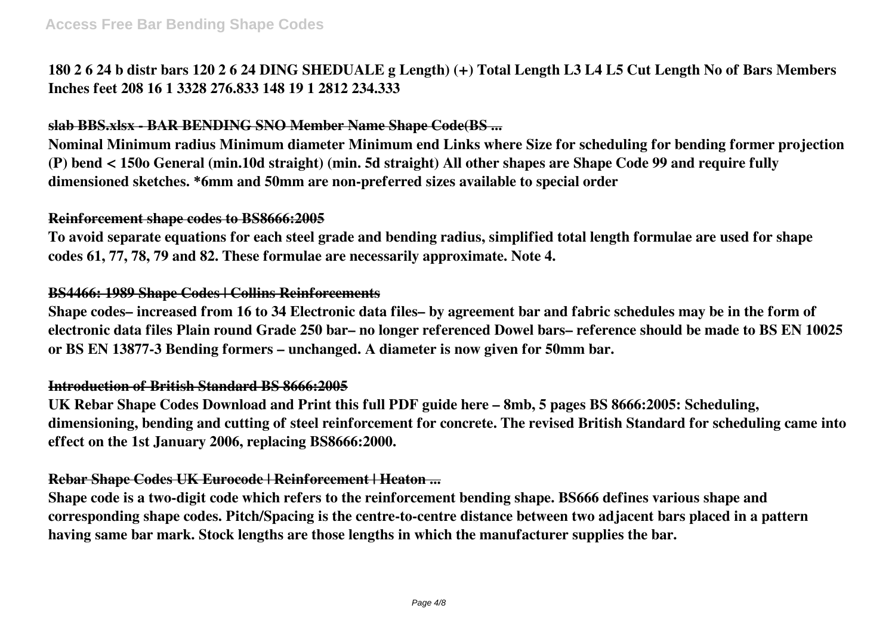**180 2 6 24 b distr bars 120 2 6 24 DING SHEDUALE g Length) (+) Total Length L3 L4 L5 Cut Length No of Bars Members Inches feet 208 16 1 3328 276.833 148 19 1 2812 234.333**

# **slab BBS.xlsx - BAR BENDING SNO Member Name Shape Code(BS ...**

**Nominal Minimum radius Minimum diameter Minimum end Links where Size for scheduling for bending former projection (P) bend < 150o General (min.10d straight) (min. 5d straight) All other shapes are Shape Code 99 and require fully dimensioned sketches. \*6mm and 50mm are non-preferred sizes available to special order**

#### **Reinforcement shape codes to BS8666:2005**

**To avoid separate equations for each steel grade and bending radius, simplified total length formulae are used for shape codes 61, 77, 78, 79 and 82. These formulae are necessarily approximate. Note 4.**

#### **BS4466: 1989 Shape Codes | Collins Reinforcements**

**Shape codes– increased from 16 to 34 Electronic data files– by agreement bar and fabric schedules may be in the form of electronic data files Plain round Grade 250 bar– no longer referenced Dowel bars– reference should be made to BS EN 10025 or BS EN 13877-3 Bending formers – unchanged. A diameter is now given for 50mm bar.**

#### **Introduction of British Standard BS 8666:2005**

**UK Rebar Shape Codes Download and Print this full PDF guide here – 8mb, 5 pages BS 8666:2005: Scheduling, dimensioning, bending and cutting of steel reinforcement for concrete. The revised British Standard for scheduling came into effect on the 1st January 2006, replacing BS8666:2000.**

#### **Rebar Shape Codes UK Eurocode | Reinforcement | Heaton ...**

**Shape code is a two-digit code which refers to the reinforcement bending shape. BS666 defines various shape and corresponding shape codes. Pitch/Spacing is the centre-to-centre distance between two adjacent bars placed in a pattern having same bar mark. Stock lengths are those lengths in which the manufacturer supplies the bar.**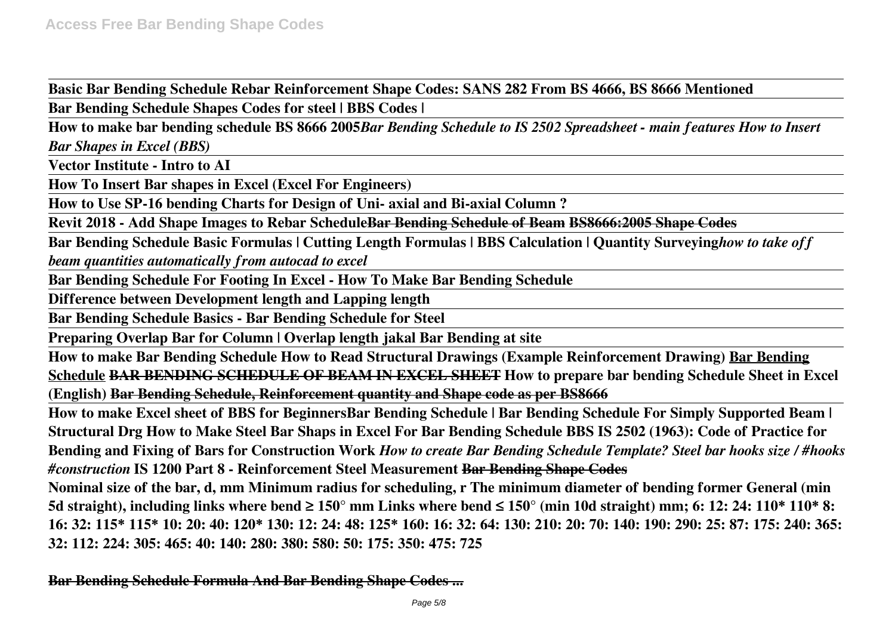**Basic Bar Bending Schedule Rebar Reinforcement Shape Codes: SANS 282 From BS 4666, BS 8666 Mentioned**

**Bar Bending Schedule Shapes Codes for steel | BBS Codes |**

**How to make bar bending schedule BS 8666 2005***Bar Bending Schedule to IS 2502 Spreadsheet - main features How to Insert Bar Shapes in Excel (BBS)*

**Vector Institute - Intro to AI**

**How To Insert Bar shapes in Excel (Excel For Engineers)**

**How to Use SP-16 bending Charts for Design of Uni- axial and Bi-axial Column ?**

**Revit 2018 - Add Shape Images to Rebar ScheduleBar Bending Schedule of Beam BS8666:2005 Shape Codes**

**Bar Bending Schedule Basic Formulas | Cutting Length Formulas | BBS Calculation | Quantity Surveying***how to take off beam quantities automatically from autocad to excel*

**Bar Bending Schedule For Footing In Excel - How To Make Bar Bending Schedule**

**Difference between Development length and Lapping length**

**Bar Bending Schedule Basics - Bar Bending Schedule for Steel**

**Preparing Overlap Bar for Column | Overlap length jakal Bar Bending at site**

**How to make Bar Bending Schedule How to Read Structural Drawings (Example Reinforcement Drawing) Bar Bending Schedule BAR BENDING SCHEDULE OF BEAM IN EXCEL SHEET How to prepare bar bending Schedule Sheet in Excel (English) Bar Bending Schedule, Reinforcement quantity and Shape code as per BS8666**

**How to make Excel sheet of BBS for BeginnersBar Bending Schedule | Bar Bending Schedule For Simply Supported Beam | Structural Drg How to Make Steel Bar Shaps in Excel For Bar Bending Schedule BBS IS 2502 (1963): Code of Practice for Bending and Fixing of Bars for Construction Work** *How to create Bar Bending Schedule Template? Steel bar hooks size / #hooks #construction* **IS 1200 Part 8 - Reinforcement Steel Measurement Bar Bending Shape Codes**

**Nominal size of the bar, d, mm Minimum radius for scheduling, r The minimum diameter of bending former General (min 5d straight), including links where bend ≥ 150° mm Links where bend ≤ 150° (min 10d straight) mm; 6: 12: 24: 110\* 110\* 8: 16: 32: 115\* 115\* 10: 20: 40: 120\* 130: 12: 24: 48: 125\* 160: 16: 32: 64: 130: 210: 20: 70: 140: 190: 290: 25: 87: 175: 240: 365: 32: 112: 224: 305: 465: 40: 140: 280: 380: 580: 50: 175: 350: 475: 725**

**Bar Bending Schedule Formula And Bar Bending Shape Codes ...**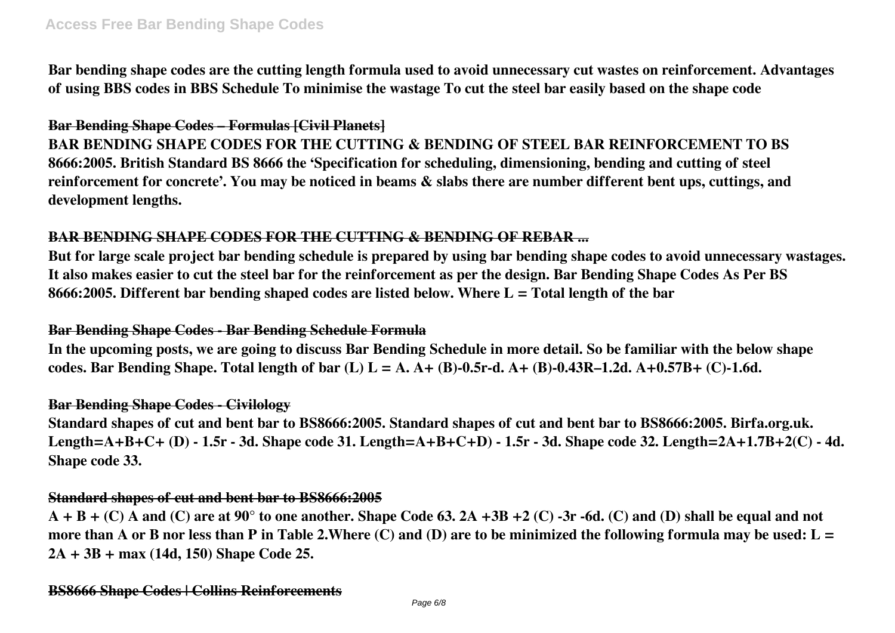**Bar bending shape codes are the cutting length formula used to avoid unnecessary cut wastes on reinforcement. Advantages of using BBS codes in BBS Schedule To minimise the wastage To cut the steel bar easily based on the shape code**

# **Bar Bending Shape Codes – Formulas [Civil Planets]**

**BAR BENDING SHAPE CODES FOR THE CUTTING & BENDING OF STEEL BAR REINFORCEMENT TO BS 8666:2005. British Standard BS 8666 the 'Specification for scheduling, dimensioning, bending and cutting of steel reinforcement for concrete'. You may be noticed in beams & slabs there are number different bent ups, cuttings, and development lengths.**

# **BAR BENDING SHAPE CODES FOR THE CUTTING & BENDING OF REBAR ...**

**But for large scale project bar bending schedule is prepared by using bar bending shape codes to avoid unnecessary wastages. It also makes easier to cut the steel bar for the reinforcement as per the design. Bar Bending Shape Codes As Per BS 8666:2005. Different bar bending shaped codes are listed below. Where L = Total length of the bar**

# **Bar Bending Shape Codes - Bar Bending Schedule Formula**

**In the upcoming posts, we are going to discuss Bar Bending Schedule in more detail. So be familiar with the below shape codes. Bar Bending Shape. Total length of bar (L) L = A. A+ (B)-0.5r-d. A+ (B)-0.43R–1.2d. A+0.57B+ (C)-1.6d.**

# **Bar Bending Shape Codes - Civilology**

**Standard shapes of cut and bent bar to BS8666:2005. Standard shapes of cut and bent bar to BS8666:2005. Birfa.org.uk. Length=A+B+C+ (D) - 1.5r - 3d. Shape code 31. Length=A+B+C+D) - 1.5r - 3d. Shape code 32. Length=2A+1.7B+2(C) - 4d. Shape code 33.**

# **Standard shapes of cut and bent bar to BS8666:2005**

**A + B + (C) A and (C) are at 90° to one another. Shape Code 63. 2A +3B +2 (C) -3r -6d. (C) and (D) shall be equal and not more than A or B nor less than P in Table 2.Where (C) and (D) are to be minimized the following formula may be used: L = 2A + 3B + max (14d, 150) Shape Code 25.**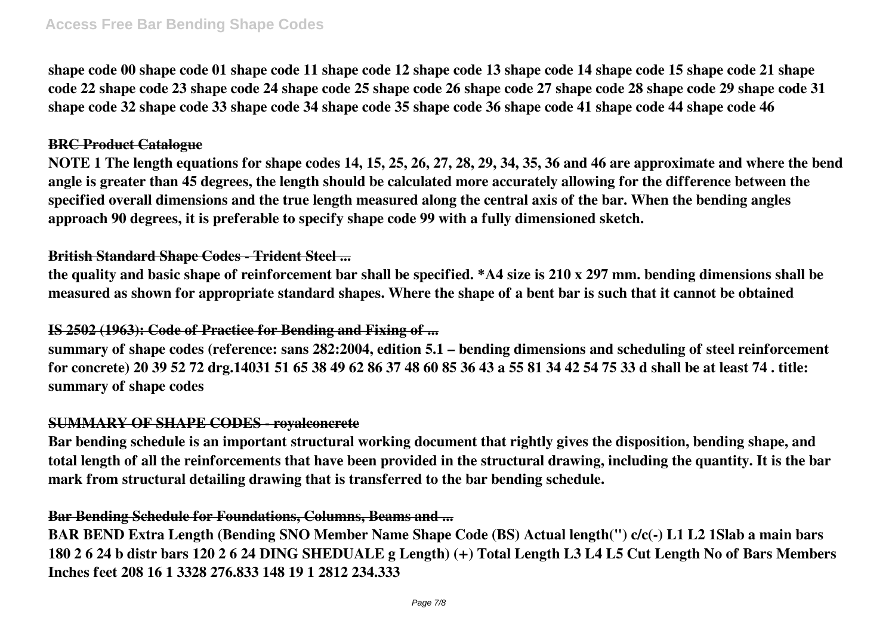**shape code 00 shape code 01 shape code 11 shape code 12 shape code 13 shape code 14 shape code 15 shape code 21 shape code 22 shape code 23 shape code 24 shape code 25 shape code 26 shape code 27 shape code 28 shape code 29 shape code 31 shape code 32 shape code 33 shape code 34 shape code 35 shape code 36 shape code 41 shape code 44 shape code 46**

#### **BRC Product Catalogue**

**NOTE 1 The length equations for shape codes 14, 15, 25, 26, 27, 28, 29, 34, 35, 36 and 46 are approximate and where the bend angle is greater than 45 degrees, the length should be calculated more accurately allowing for the difference between the specified overall dimensions and the true length measured along the central axis of the bar. When the bending angles approach 90 degrees, it is preferable to specify shape code 99 with a fully dimensioned sketch.**

## **British Standard Shape Codes - Trident Steel ...**

**the quality and basic shape of reinforcement bar shall be specified. \*A4 size is 210 x 297 mm. bending dimensions shall be measured as shown for appropriate standard shapes. Where the shape of a bent bar is such that it cannot be obtained**

# **IS 2502 (1963): Code of Practice for Bending and Fixing of ...**

**summary of shape codes (reference: sans 282:2004, edition 5.1 – bending dimensions and scheduling of steel reinforcement for concrete) 20 39 52 72 drg.14031 51 65 38 49 62 86 37 48 60 85 36 43 a 55 81 34 42 54 75 33 d shall be at least 74 . title: summary of shape codes**

#### **SUMMARY OF SHAPE CODES - royalconcrete**

**Bar bending schedule is an important structural working document that rightly gives the disposition, bending shape, and total length of all the reinforcements that have been provided in the structural drawing, including the quantity. It is the bar mark from structural detailing drawing that is transferred to the bar bending schedule.**

# **Bar Bending Schedule for Foundations, Columns, Beams and ...**

**BAR BEND Extra Length (Bending SNO Member Name Shape Code (BS) Actual length(") c/c(-) L1 L2 1Slab a main bars 180 2 6 24 b distr bars 120 2 6 24 DING SHEDUALE g Length) (+) Total Length L3 L4 L5 Cut Length No of Bars Members Inches feet 208 16 1 3328 276.833 148 19 1 2812 234.333**